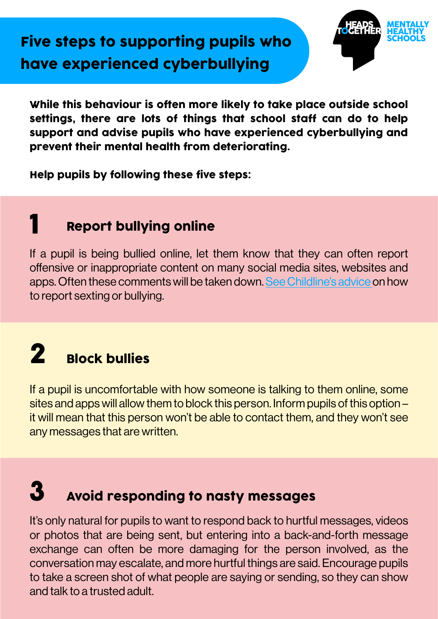# Five steps to supporting pupils who have experienced cyberbullying



While this behaviour is often more likely to take place outside school settings, there are lots of things that school staff can do to help support and advise pupils who have experienced cyberbullying and prevent their mental health from deteriorating.

Help pupils by following these five steps:

#### Report bullying online 1

If a pupil is being bullied online, let them know that they can often report offensive or inappropriate content on many social media sites, websites and apps. Often these comments will be taken down. [See Childline's advice](https://www.childline.org.uk/info-advice/bullying-abuse-safety/online-mobile-safety/sexting/#Blockingandreporting) on how to report sexting or bullying.

## Block bullies 2

If a pupil is uncomfortable with how someone is talking to them online, some sites and apps will allow them to block this person. Inform pupils of this option – it will mean that this person won't be able to contact them, and they won't see any messages that are written.

## Avoid responding to nasty messages 3

It's only natural for pupils to want to respond back to hurtful messages, videos or photos that are being sent, but entering into a back-and-forth message exchange can often be more damaging for the person involved, as the conversation may escalate, and more hurtful things are said. Encourage pupils to take a screen shot of what people are saying or sending, so they can show and talk to a trusted adult.